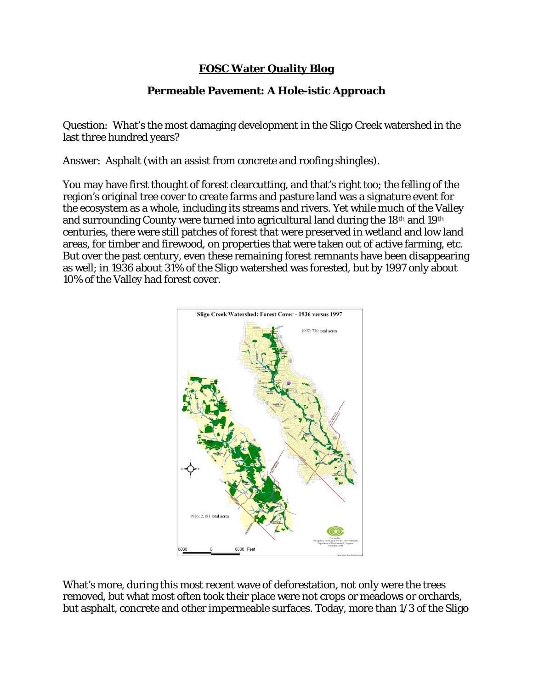## **FOSC Water Quality Blog**

## **Permeable Pavement: A Hole-istic Approach**

Question: What's the most damaging development in the Sligo Creek watershed in the last three hundred years?

Answer: Asphalt (with an assist from concrete and roofing shingles).

You may have first thought of forest clearcutting, and that's right too; the felling of the region's original tree cover to create farms and pasture land was a signature event for the ecosystem as a whole, including its streams and rivers. Yet while much of the Valley and surrounding County were turned into agricultural land during the 18th and 19th centuries, there were still patches of forest that were preserved in wetland and low land areas, for timber and firewood, on properties that were taken out of active farming, etc. But over the past century, even these remaining forest remnants have been disappearing as well; in 1936 about 31% of the Sligo watershed was forested, but by 1997 only about 10% of the Valley had forest cover.



What's more, during this most recent wave of deforestation, not only were the trees removed, but what most often took their place were not crops or meadows or orchards, but asphalt, concrete and other impermeable surfaces. Today, more than 1/3 of the Sligo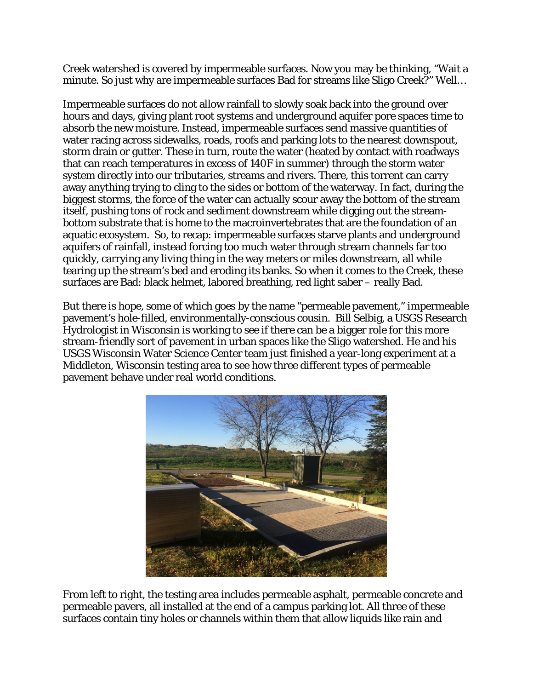Creek watershed is covered by impermeable surfaces. Now you may be thinking, "Wait a minute. So just why are impermeable surfaces Bad for streams like Sligo Creek?" Well…

Impermeable surfaces do not allow rainfall to slowly soak back into the ground over hours and days, giving plant root systems and underground aquifer pore spaces time to absorb the new moisture. Instead, impermeable surfaces send massive quantities of water racing across sidewalks, roads, roofs and parking lots to the nearest downspout, storm drain or gutter. These in turn, route the water (heated by contact with roadways that can reach temperatures in excess of 140F in summer) through the storm water system directly into our tributaries, streams and rivers. There, this torrent can carry away anything trying to cling to the sides or bottom of the waterway. In fact, during the biggest storms, the force of the water can actually scour away the bottom of the stream itself, pushing tons of rock and sediment downstream while digging out the streambottom substrate that is home to the macroinvertebrates that are the foundation of an aquatic ecosystem. So, to recap: impermeable surfaces starve plants and underground aquifers of rainfall, instead forcing too much water through stream channels far too quickly, carrying any living thing in the way meters or miles downstream, all while tearing up the stream's bed and eroding its banks. So when it comes to the Creek, these surfaces are Bad: black helmet, labored breathing, red light saber – really Bad.

But there is hope, some of which goes by the name "permeable pavement," impermeable pavement's hole-filled, environmentally-conscious cousin. Bill Selbig, a USGS Research Hydrologist in Wisconsin is working to see if there can be a bigger role for this more stream-friendly sort of pavement in urban spaces like the Sligo watershed. He and his USGS Wisconsin Water Science Center team just finished a year-long experiment at a Middleton, Wisconsin testing area to see how three different types of permeable pavement behave under real world conditions.



From left to right, the testing area includes permeable asphalt, permeable concrete and permeable pavers, all installed at the end of a campus parking lot. All three of these surfaces contain tiny holes or channels within them that allow liquids like rain and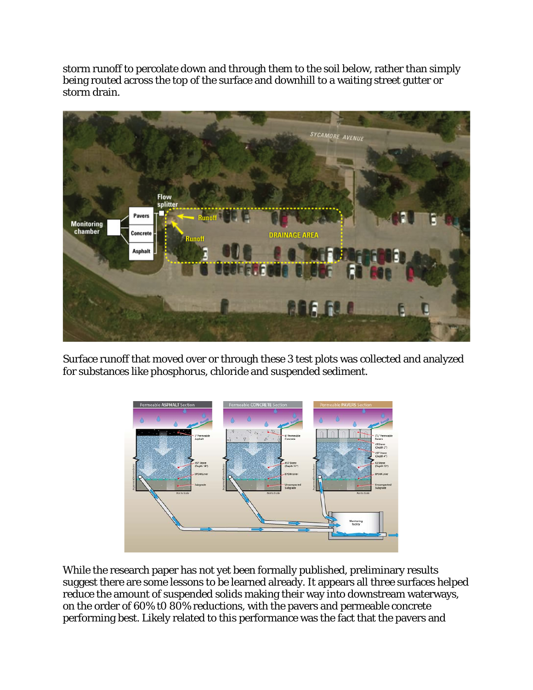storm runoff to percolate down and through them to the soil below, rather than simply being routed across the top of the surface and downhill to a waiting street gutter or storm drain.



Surface runoff that moved over or through these 3 test plots was collected and analyzed for substances like phosphorus, chloride and suspended sediment.



While the research paper has not yet been formally published, preliminary results suggest there are some lessons to be learned already. It appears all three surfaces helped reduce the amount of suspended solids making their way into downstream waterways, on the order of 60% t0 80% reductions, with the pavers and permeable concrete performing best. Likely related to this performance was the fact that the pavers and